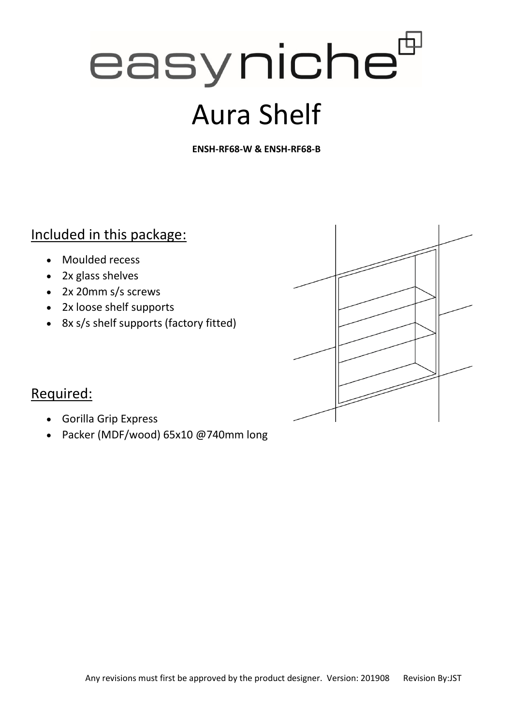# easyniche<sup>t</sup>

## Aura Shelf

**ENSH-RF68-W & ENSH-RF68-B**

#### Included in this package:

- Moulded recess
- 2x glass shelves
- 2x 20mm s/s screws
- 2x loose shelf supports
- 8x s/s shelf supports (factory fitted)



#### Required:

- Gorilla Grip Express
- Packer (MDF/wood) 65x10 @740mm long